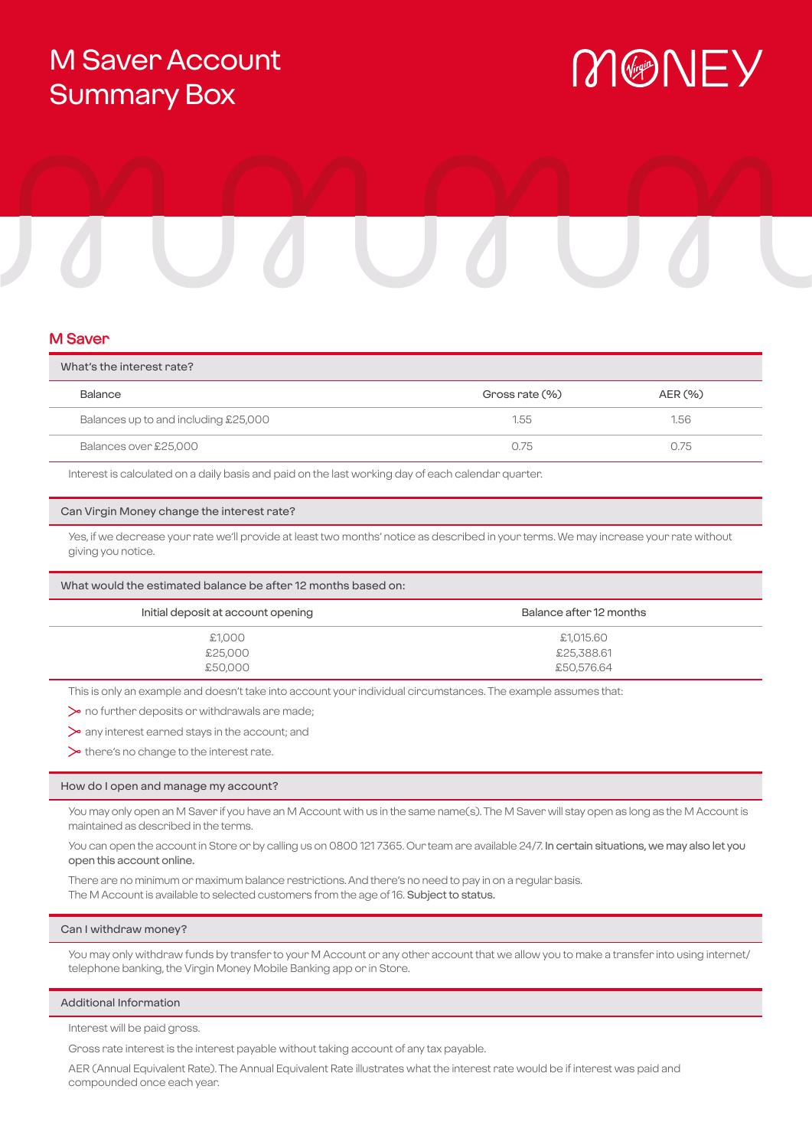# M Saver Account Summary Box

# MONEY

## M Saver

| What's the interest rate?            |                |         |
|--------------------------------------|----------------|---------|
| Balance                              | Gross rate (%) | AER (%) |
| Balances up to and including £25,000 | 1.55           | 1.56    |
| Balances over £25,000                | O 75           | 0.75    |

Interest is calculated on a daily basis and paid on the last working day of each calendar quarter.

#### Can Virgin Money change the interest rate?

Yes, if we decrease your rate we'll provide at least two months' notice as described in your terms. We may increase your rate without giving you notice.

#### What would the estimated balance be after 12 months based on:

| Initial deposit at account opening | Balance after 12 months |  |
|------------------------------------|-------------------------|--|
| £1,000                             | £1,015.60               |  |
| £25,000                            | £25,388.61              |  |
| £50,000                            | £50,576.64              |  |

This is only an example and doesn't take into account your individual circumstances. The example assumes that:

 $\triangleright$  no further deposits or withdrawals are made;

any interest earned stays in the account; and

 $\triangleright$  there's no change to the interest rate.

#### How do I open and manage my account?

You may only open an M Saver if you have an M Account with us in the same name(s). The M Saver will stay open as long as the M Account is maintained as described in the terms.

You can open the account in Store or by calling us on 0800 121 7365. Our team are available 24/7. In certain situations, we may also let you open this account online.

There are no minimum or maximum balance restrictions. And there's no need to pay in on a regular basis. The M Account is available to selected customers from the age of 16. Subject to status.

#### Can I withdraw money?

You may only withdraw funds by transfer to your M Account or any other account that we allow you to make a transfer into using internet/ telephone banking, the Virgin Money Mobile Banking app or in Store.

#### Additional Information

Interest will be paid gross.

Gross rate interest is the interest payable without taking account of any tax payable.

AER (Annual Equivalent Rate). The Annual Equivalent Rate illustrates what the interest rate would be if interest was paid and compounded once each year.